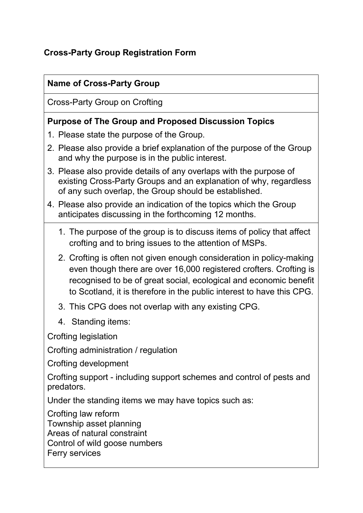# **Cross-Party Group Registration Form**

#### **Name of Cross-Party Group**

Cross-Party Group on Crofting

#### **Purpose of The Group and Proposed Discussion Topics**

- 1. Please state the purpose of the Group.
- 2. Please also provide a brief explanation of the purpose of the Group and why the purpose is in the public interest.
- 3. Please also provide details of any overlaps with the purpose of existing Cross-Party Groups and an explanation of why, regardless of any such overlap, the Group should be established.
- 4. Please also provide an indication of the topics which the Group anticipates discussing in the forthcoming 12 months.
	- 1. The purpose of the group is to discuss items of policy that affect crofting and to bring issues to the attention of MSPs.
	- 2. Crofting is often not given enough consideration in policy-making even though there are over 16,000 registered crofters. Crofting is recognised to be of great social, ecological and economic benefit to Scotland, it is therefore in the public interest to have this CPG.
	- 3. This CPG does not overlap with any existing CPG.
	- 4. Standing items:

Crofting legislation

Crofting administration / regulation

Crofting development

Crofting support - including support schemes and control of pests and predators.

Under the standing items we may have topics such as:

Crofting law reform

Township asset planning

Areas of natural constraint

Control of wild goose numbers

Ferry services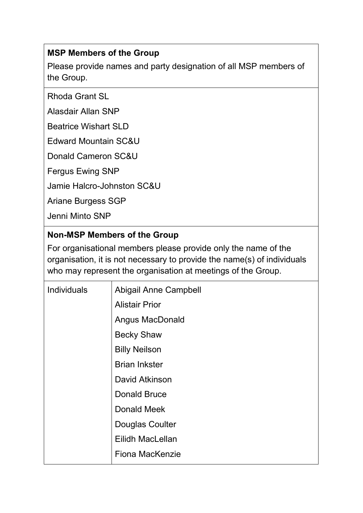## **MSP Members of the Group**

Please provide names and party designation of all MSP members of the Group.

Rhoda Grant SL

Alasdair Allan SNP

Beatrice Wishart SLD

Edward Mountain SC&U

Donald Cameron SC&U

Fergus Ewing SNP

Jamie Halcro-Johnston SC&U

Ariane Burgess SGP

Jenni Minto SNP

## **Non-MSP Members of the Group**

For organisational members please provide only the name of the organisation, it is not necessary to provide the name(s) of individuals who may represent the organisation at meetings of the Group.

| <b>Individuals</b> | <b>Abigail Anne Campbell</b> |
|--------------------|------------------------------|
|                    | <b>Alistair Prior</b>        |
|                    | Angus MacDonald              |
|                    | <b>Becky Shaw</b>            |
|                    | <b>Billy Neilson</b>         |
|                    | <b>Brian Inkster</b>         |
|                    | David Atkinson               |
|                    | <b>Donald Bruce</b>          |
|                    | Donald Meek                  |
|                    | Douglas Coulter              |
|                    | Eilidh MacLellan             |
|                    | <b>Fiona MacKenzie</b>       |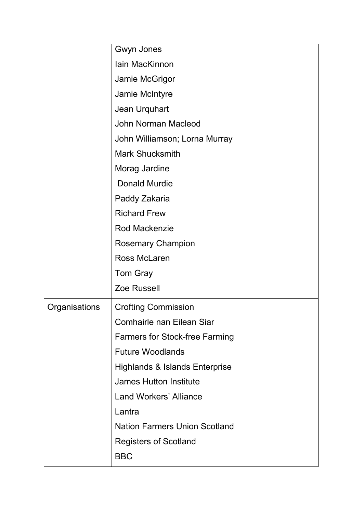|               | Gwyn Jones                                |
|---------------|-------------------------------------------|
|               | <b>lain MacKinnon</b>                     |
|               | Jamie McGrigor                            |
|               | Jamie McIntyre                            |
|               | Jean Urquhart                             |
|               | <b>John Norman Macleod</b>                |
|               | John Williamson; Lorna Murray             |
|               | <b>Mark Shucksmith</b>                    |
|               | Morag Jardine                             |
|               | <b>Donald Murdie</b>                      |
|               | Paddy Zakaria                             |
|               | <b>Richard Frew</b>                       |
|               | <b>Rod Mackenzie</b>                      |
|               | <b>Rosemary Champion</b>                  |
|               | <b>Ross McLaren</b>                       |
|               | <b>Tom Gray</b>                           |
|               | <b>Zoe Russell</b>                        |
| Organisations | <b>Crofting Commission</b>                |
|               | <b>Comhairle nan Eilean Siar</b>          |
|               | <b>Farmers for Stock-free Farming</b>     |
|               | <b>Future Woodlands</b>                   |
|               | <b>Highlands &amp; Islands Enterprise</b> |
|               | <b>James Hutton Institute</b>             |
|               | <b>Land Workers' Alliance</b>             |
|               | Lantra                                    |
|               | <b>Nation Farmers Union Scotland</b>      |
|               | <b>Registers of Scotland</b>              |
|               | <b>BBC</b>                                |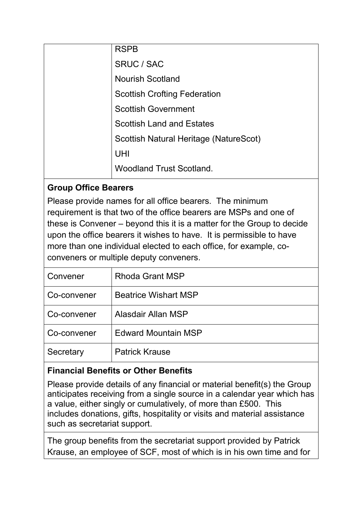| <b>RSPB</b>                            |
|----------------------------------------|
| SRUC / SAC                             |
| <b>Nourish Scotland</b>                |
| <b>Scottish Crofting Federation</b>    |
| <b>Scottish Government</b>             |
| <b>Scottish Land and Estates</b>       |
| Scottish Natural Heritage (NatureScot) |
| UHI                                    |
| <b>Woodland Trust Scotland.</b>        |
|                                        |

# **Group Office Bearers**

Please provide names for all office bearers. The minimum requirement is that two of the office bearers are MSPs and one of these is Convener – beyond this it is a matter for the Group to decide upon the office bearers it wishes to have. It is permissible to have more than one individual elected to each office, for example, coconveners or multiple deputy conveners.

| Rhoda Grant MSP             |
|-----------------------------|
| <b>Beatrice Wishart MSP</b> |
| Alasdair Allan MSP          |
| <b>Edward Mountain MSP</b>  |
| <b>Patrick Krause</b>       |
|                             |

## **Financial Benefits or Other Benefits**

Please provide details of any financial or material benefit(s) the Group anticipates receiving from a single source in a calendar year which has a value, either singly or cumulatively, of more than £500. This includes donations, gifts, hospitality or visits and material assistance such as secretariat support.

The group benefits from the secretariat support provided by Patrick Krause, an employee of SCF, most of which is in his own time and for